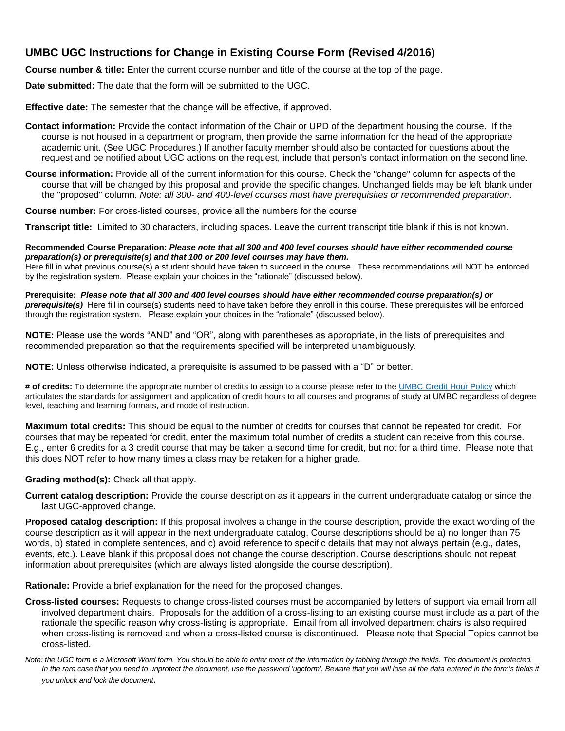# **UMBC UGC Instructions for Change in Existing Course Form (Revised 4/2016)**

**Course number & title:** Enter the current course number and title of the course at the top of the page.

**Date submitted:** The date that the form will be submitted to the UGC.

**Effective date:** The semester that the change will be effective, if approved.

- **Contact information:** Provide the contact information of the Chair or UPD of the department housing the course. If the course is not housed in a department or program, then provide the same information for the head of the appropriate academic unit. (See UGC Procedures.) If another faculty member should also be contacted for questions about the request and be notified about UGC actions on the request, include that person's contact information on the second line.
- **Course information:** Provide all of the current information for this course. Check the "change" column for aspects of the course that will be changed by this proposal and provide the specific changes. Unchanged fields may be left blank under the "proposed" column. *Note: all 300- and 400-level courses must have prerequisites or recommended preparation.*

**Course number:** For cross-listed courses, provide all the numbers for the course.

**Transcript title:** Limited to 30 characters, including spaces. Leave the current transcript title blank if this is not known.

**Recommended Course Preparation:** *Please note that all 300 and 400 level courses should have either recommended course preparation(s) or prerequisite(s) and that 100 or 200 level courses may have them.*

Here fill in what previous course(s) a student should have taken to succeed in the course. These recommendations will NOT be enforced by the registration system. Please explain your choices in the "rationale" (discussed below).

**Prerequisite:** *Please note that all 300 and 400 level courses should have either recommended course preparation(s) or prerequisite(s)* Here fill in course(s) students need to have taken before they enroll in this course. These prerequisites will be enforced through the registration system.Please explain your choices in the "rationale" (discussed below).

**NOTE:** Please use the words "AND" and "OR", along with parentheses as appropriate, in the lists of prerequisites and recommended preparation so that the requirements specified will be interpreted unambiguously.

**NOTE:** Unless otherwise indicated, a prerequisite is assumed to be passed with a "D" or better.

**# of credits:** To determine the appropriate number of credits to assign to a course please refer to the [UMBC Credit Hour Policy](http://www.umbc.edu/policies/pdfs/UMBC%20Policy%20III.6.10.01%20Credit%20Hour%20Policy.pdf) which articulates the standards for assignment and application of credit hours to all courses and programs of study at UMBC regardless of degree level, teaching and learning formats, and mode of instruction.

**Maximum total credits:** This should be equal to the number of credits for courses that cannot be repeated for credit. For courses that may be repeated for credit, enter the maximum total number of credits a student can receive from this course. E.g., enter 6 credits for a 3 credit course that may be taken a second time for credit, but not for a third time. Please note that this does NOT refer to how many times a class may be retaken for a higher grade.

#### **Grading method(s):** Check all that apply.

**Current catalog description:** Provide the course description as it appears in the current undergraduate catalog or since the last UGC-approved change.

**Proposed catalog description:** If this proposal involves a change in the course description, provide the exact wording of the course description as it will appear in the next undergraduate catalog. Course descriptions should be a) no longer than 75 words, b) stated in complete sentences, and c) avoid reference to specific details that may not always pertain (e.g., dates, events, etc.). Leave blank if this proposal does not change the course description. Course descriptions should not repeat information about prerequisites (which are always listed alongside the course description).

**Rationale:** Provide a brief explanation for the need for the proposed changes.

**Cross-listed courses:** Requests to change cross-listed courses must be accompanied by letters of support via email from all involved department chairs. Proposals for the addition of a cross-listing to an existing course must include as a part of the rationale the specific reason why cross-listing is appropriate. Email from all involved department chairs is also required when cross-listing is removed and when a cross-listed course is discontinued. Please note that Special Topics cannot be cross-listed.

*Note: the UGC form is a Microsoft Word form. You should be able to enter most of the information by tabbing through the fields. The document is protected.*  In the rare case that you need to unprotect the document, use the password 'ugcform'. Beware that you will lose all the data entered in the form's fields if *you unlock and lock the document.*